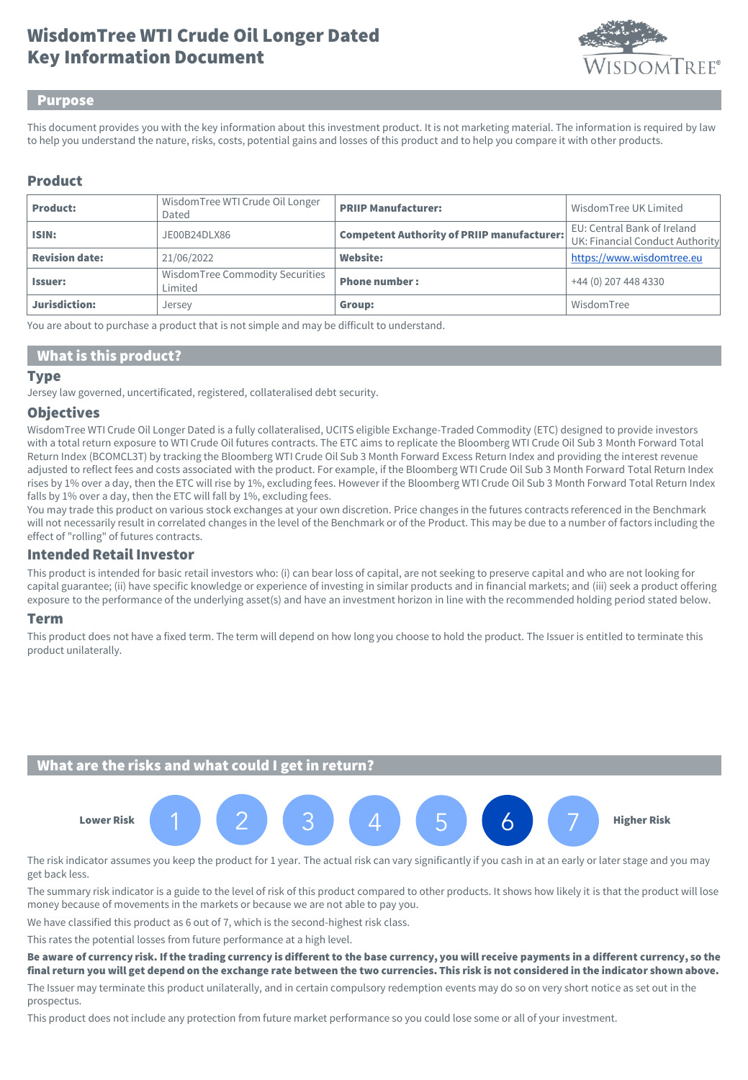# Key Information Document WisdomTree WTI Crude Oil Longer Dated



### Purpose

This document provides you with the key information about this investment product. It is not marketing material. The information is required by law to help you understand the nature, risks, costs, potential gains and losses of this product and to help you compare it with other products.

### Product

| <b>Product:</b>       | Wisdom Tree WTI Crude Oil Longer<br>Dated  | <b>PRIIP Manufacturer:</b>                        | Wisdom Tree UK Limited                                         |
|-----------------------|--------------------------------------------|---------------------------------------------------|----------------------------------------------------------------|
| ISIN:                 | JE00B24DLX86                               | <b>Competent Authority of PRIIP manufacturer:</b> | EU: Central Bank of Ireland<br>UK: Financial Conduct Authority |
| <b>Revision date:</b> | 21/06/2022                                 | <b>Website:</b>                                   | https://www.wisdomtree.eu                                      |
| <b>Issuer:</b>        | WisdomTree Commodity Securities<br>Limited | <b>Phone number:</b>                              | +44 (0) 207 448 4330                                           |
| Jurisdiction:         | Jersey                                     | Group:                                            | WisdomTree                                                     |

You are about to purchase a product that is not simple and may be difficult to understand.

### What is this product?

#### Type

Jersey law governed, uncertificated, registered, collateralised debt security.

### **Objectives**

WisdomTree WTI Crude Oil Longer Dated is a fully collateralised, UCITS eligible Exchange-Traded Commodity (ETC) designed to provide investors with a total return exposure to WTI Crude Oil futures contracts. The ETC aims to replicate the Bloomberg WTI Crude Oil Sub 3 Month Forward Total Return Index (BCOMCL3T) by tracking the Bloomberg WTI Crude Oil Sub 3 Month Forward Excess Return Index and providing the interest revenue adjusted to reflect fees and costs associated with the product. For example, if the Bloomberg WTI Crude Oil Sub 3 Month Forward Total Return Index rises by 1% over a day, then the ETC will rise by 1%, excluding fees. However if the Bloomberg WTI Crude Oil Sub 3 Month Forward Total Return Index falls by 1% over a day, then the ETC will fall by 1%, excluding fees.

You may trade this product on various stock exchanges at your own discretion. Price changes in the futures contracts referenced in the Benchmark will not necessarily result in correlated changes in the level of the Benchmark or of the Product. This may be due to a number of factors including the effect of "rolling" of futures contracts.

### Intended Retail Investor

This product is intended for basic retail investors who: (i) can bear loss of capital, are not seeking to preserve capital and who are not looking for capital guarantee; (ii) have specific knowledge or experience of investing in similar products and in financial markets; and (iii) seek a product offering exposure to the performance of the underlying asset(s) and have an investment horizon in line with the recommended holding period stated below.

### Term

This product does not have a fixed term. The term will depend on how long you choose to hold the product. The Issuer is entitled to terminate this product unilaterally.

## What are the risks and what could I get in return?



The risk indicator assumes you keep the product for 1 year. The actual risk can vary significantly if you cash in at an early or later stage and you may get back less.

The summary risk indicator is a guide to the level of risk of this product compared to other products. It shows how likely it is that the product will lose money because of movements in the markets or because we are not able to pay you.

We have classified this product as 6 out of 7, which is the second-highest risk class.

This rates the potential losses from future performance at a high level.

#### Be aware of currency risk. If the trading currency is different to the base currency, you will receive payments in a different currency, so the final return you will get depend on the exchange rate between the two currencies. This risk is not considered in the indicator shown above.

The Issuer may terminate this product unilaterally, and in certain compulsory redemption events may do so on very short notice as set out in the prospectus.

This product does not include any protection from future market performance so you could lose some or all of your investment.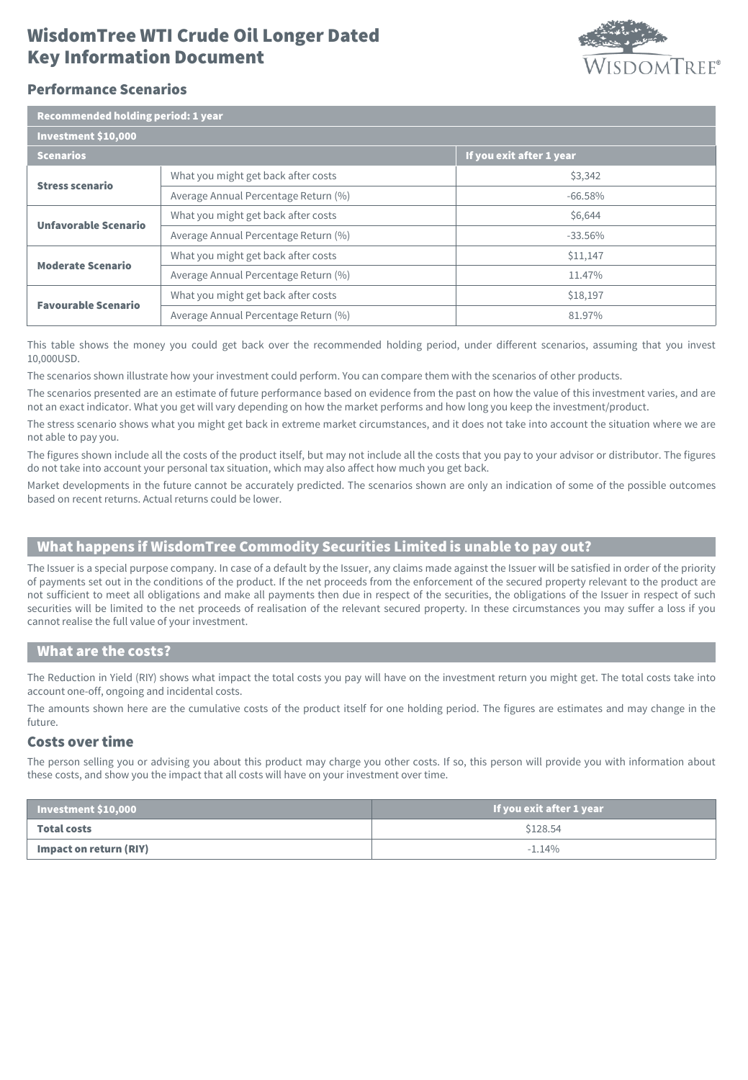# Key Information Document WisdomTree WTI Crude Oil Longer Dated



# Performance Scenarios

| <b>Recommended holding period: 1 year</b> |                                      |                          |  |  |
|-------------------------------------------|--------------------------------------|--------------------------|--|--|
| Investment \$10,000                       |                                      |                          |  |  |
| <b>Scenarios</b>                          |                                      | If you exit after 1 year |  |  |
| <b>Stress scenario</b>                    | What you might get back after costs  | \$3,342                  |  |  |
|                                           | Average Annual Percentage Return (%) | $-66.58\%$               |  |  |
| <b>Unfavorable Scenario</b>               | What you might get back after costs  | \$6,644                  |  |  |
|                                           | Average Annual Percentage Return (%) | $-33.56\%$               |  |  |
| <b>Moderate Scenario</b>                  | What you might get back after costs  | \$11,147                 |  |  |
|                                           | Average Annual Percentage Return (%) | 11.47%                   |  |  |
| <b>Favourable Scenario</b>                | What you might get back after costs  | \$18,197                 |  |  |
|                                           | Average Annual Percentage Return (%) | 81.97%                   |  |  |

This table shows the money you could get back over the recommended holding period, under different scenarios, assuming that you invest 10,000USD.

The scenarios shown illustrate how your investment could perform. You can compare them with the scenarios of other products.

The scenarios presented are an estimate of future performance based on evidence from the past on how the value of this investment varies, and are not an exact indicator. What you get will vary depending on how the market performs and how long you keep the investment/product.

The stress scenario shows what you might get back in extreme market circumstances, and it does not take into account the situation where we are not able to pay you.

The figures shown include all the costs of the product itself, but may not include all the costs that you pay to your advisor or distributor. The figures do not take into account your personal tax situation, which may also affect how much you get back.

Market developments in the future cannot be accurately predicted. The scenarios shown are only an indication of some of the possible outcomes based on recent returns. Actual returns could be lower.

## What happens if WisdomTree Commodity Securities Limited is unable to pay out?

The Issuer is a special purpose company. In case of a default by the Issuer, any claims made against the Issuer will be satisfied in order of the priority of payments set out in the conditions of the product. If the net proceeds from the enforcement of the secured property relevant to the product are not sufficient to meet all obligations and make all payments then due in respect of the securities, the obligations of the Issuer in respect of such securities will be limited to the net proceeds of realisation of the relevant secured property. In these circumstances you may suffer a loss if you cannot realise the full value of your investment.

### What are the costs?

The Reduction in Yield (RIY) shows what impact the total costs you pay will have on the investment return you might get. The total costs take into account one-off, ongoing and incidental costs.

The amounts shown here are the cumulative costs of the product itself for one holding period. The figures are estimates and may change in the future.

### Costs over time

The person selling you or advising you about this product may charge you other costs. If so, this person will provide you with information about these costs, and show you the impact that all costs will have on your investment over time.

| Investment \$10,000    | If you exit after 1 year |
|------------------------|--------------------------|
| <b>Total costs</b>     | \$128.54                 |
| Impact on return (RIY) | $-1.14%$                 |